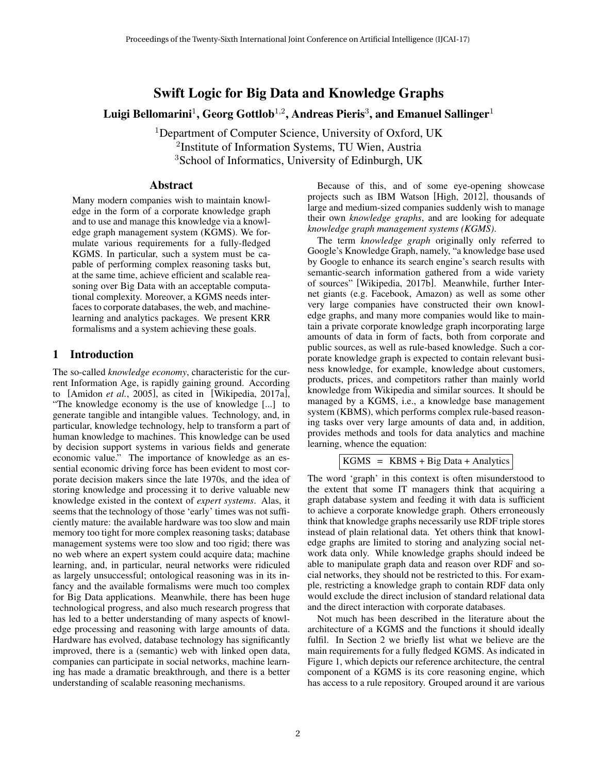# Swift Logic for Big Data and Knowledge Graphs

# Luigi Bellomarini $^1$ , Georg Gottlob $^{1,2}$ , Andreas Pieris $^3$ , and Emanuel Sallinger $^1$

<sup>1</sup>Department of Computer Science, University of Oxford, UK <sup>2</sup>Institute of Information Systems, TU Wien, Austria <sup>3</sup>School of Informatics, University of Edinburgh, UK

## Abstract

Many modern companies wish to maintain knowledge in the form of a corporate knowledge graph and to use and manage this knowledge via a knowledge graph management system (KGMS). We formulate various requirements for a fully-fledged KGMS. In particular, such a system must be capable of performing complex reasoning tasks but, at the same time, achieve efficient and scalable reasoning over Big Data with an acceptable computational complexity. Moreover, a KGMS needs interfaces to corporate databases, the web, and machinelearning and analytics packages. We present KRR formalisms and a system achieving these goals.

# 1 Introduction

The so-called *knowledge economy*, characteristic for the current Information Age, is rapidly gaining ground. According to [Amidon *et al.*, 2005], as cited in [Wikipedia, 2017a], "The knowledge economy is the use of knowledge [...] to generate tangible and intangible values. Technology, and, in particular, knowledge technology, help to transform a part of human knowledge to machines. This knowledge can be used by decision support systems in various fields and generate economic value." The importance of knowledge as an essential economic driving force has been evident to most corporate decision makers since the late 1970s, and the idea of storing knowledge and processing it to derive valuable new knowledge existed in the context of *expert systems*. Alas, it seems that the technology of those 'early' times was not sufficiently mature: the available hardware was too slow and main memory too tight for more complex reasoning tasks; database management systems were too slow and too rigid; there was no web where an expert system could acquire data; machine learning, and, in particular, neural networks were ridiculed as largely unsuccessful; ontological reasoning was in its infancy and the available formalisms were much too complex for Big Data applications. Meanwhile, there has been huge technological progress, and also much research progress that has led to a better understanding of many aspects of knowledge processing and reasoning with large amounts of data. Hardware has evolved, database technology has significantly improved, there is a (semantic) web with linked open data, companies can participate in social networks, machine learning has made a dramatic breakthrough, and there is a better understanding of scalable reasoning mechanisms.

Because of this, and of some eye-opening showcase projects such as IBM Watson [High, 2012], thousands of large and medium-sized companies suddenly wish to manage their own *knowledge graphs*, and are looking for adequate *knowledge graph management systems (KGMS)*.

The term *knowledge graph* originally only referred to Google's Knowledge Graph, namely, "a knowledge base used by Google to enhance its search engine's search results with semantic-search information gathered from a wide variety of sources" [Wikipedia, 2017b]. Meanwhile, further Internet giants (e.g. Facebook, Amazon) as well as some other very large companies have constructed their own knowledge graphs, and many more companies would like to maintain a private corporate knowledge graph incorporating large amounts of data in form of facts, both from corporate and public sources, as well as rule-based knowledge. Such a corporate knowledge graph is expected to contain relevant business knowledge, for example, knowledge about customers, products, prices, and competitors rather than mainly world knowledge from Wikipedia and similar sources. It should be managed by a KGMS, i.e., a knowledge base management system (KBMS), which performs complex rule-based reasoning tasks over very large amounts of data and, in addition, provides methods and tools for data analytics and machine learning, whence the equation:

 $KGMS = KBMS + Big Data + Analysis$ 

The word 'graph' in this context is often misunderstood to the extent that some IT managers think that acquiring a graph database system and feeding it with data is sufficient to achieve a corporate knowledge graph. Others erroneously think that knowledge graphs necessarily use RDF triple stores instead of plain relational data. Yet others think that knowledge graphs are limited to storing and analyzing social network data only. While knowledge graphs should indeed be able to manipulate graph data and reason over RDF and social networks, they should not be restricted to this. For example, restricting a knowledge graph to contain RDF data only would exclude the direct inclusion of standard relational data and the direct interaction with corporate databases.

Not much has been described in the literature about the architecture of a KGMS and the functions it should ideally fulfil. In Section 2 we briefly list what we believe are the main requirements for a fully fledged KGMS. As indicated in Figure 1, which depicts our reference architecture, the central component of a KGMS is its core reasoning engine, which has access to a rule repository. Grouped around it are various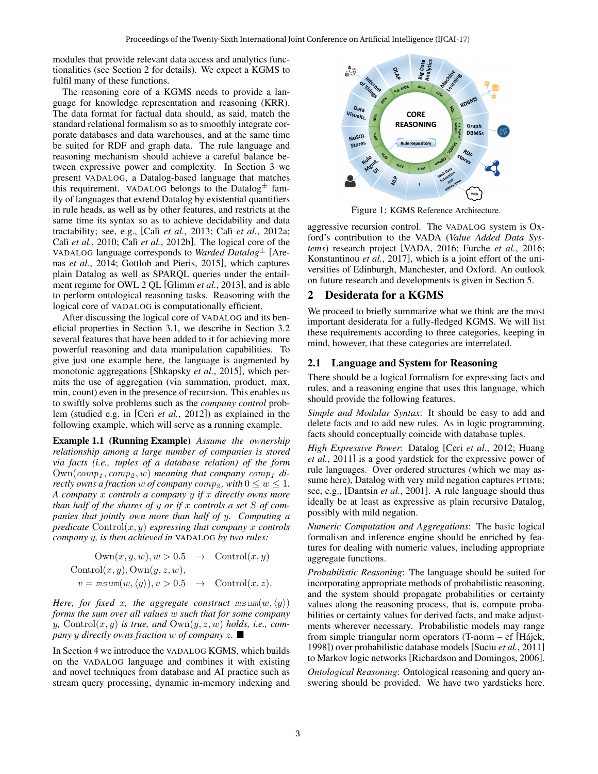modules that provide relevant data access and analytics functionalities (see Section 2 for details). We expect a KGMS to fulfil many of these functions.

The reasoning core of a KGMS needs to provide a language for knowledge representation and reasoning (KRR). The data format for factual data should, as said, match the standard relational formalism so as to smoothly integrate corporate databases and data warehouses, and at the same time be suited for RDF and graph data. The rule language and reasoning mechanism should achieve a careful balance between expressive power and complexity. In Section 3 we present VADALOG, a Datalog-based language that matches this requirement. VADALOG belongs to the Datalog  $\pm$  family of languages that extend Datalog by existential quantifiers in rule heads, as well as by other features, and restricts at the same time its syntax so as to achieve decidability and data tractability; see, e.g., [Calì *et al.*, 2013; Calì *et al.*, 2012a; Calì *et al.*, 2010; Calì *et al.*, 2012b]. The logical core of the VADALOG language corresponds to *Warded Datalog*<sup>±</sup> [Arenas *et al.*, 2014; Gottlob and Pieris, 2015], which captures plain Datalog as well as SPARQL queries under the entailment regime for OWL 2 QL [Glimm *et al.*, 2013], and is able to perform ontological reasoning tasks. Reasoning with the logical core of VADALOG is computationally efficient.

After discussing the logical core of VADALOG and its beneficial properties in Section 3.1, we describe in Section 3.2 several features that have been added to it for achieving more powerful reasoning and data manipulation capabilities. To give just one example here, the language is augmented by monotonic aggregations [Shkapsky *et al.*, 2015], which permits the use of aggregation (via summation, product, max, min, count) even in the presence of recursion. This enables us to swiftly solve problems such as the *company control* problem (studied e.g. in [Ceri *et al.*, 2012]) as explained in the following example, which will serve as a running example.

Example 1.1 (Running Example) *Assume the ownership relationship among a large number of companies is stored via facts (i.e., tuples of a database relation) of the form*  $\text{Own}(comp_1, comp_2, w)$  *meaning that company comp<sub>1</sub> directly owns a fraction* w *of company comp<sub>2</sub>*, *with*  $0 \le w \le 1$ *. A company* x *controls a company* y *if* x *directly owns more than half of the shares of* y *or if* x *controls a set* S *of companies that jointly own more than half of* y*. Computing a predicate*  $Control(x, y)$  *expressing that company* x *controls company* y*, is then achieved in* VADALOG *by two rules:*

$$
\begin{aligned}\n\text{Own}(x, y, w), w > 0.5 \rightarrow \text{Control}(x, y) \\
\text{Control}(x, y), \text{Own}(y, z, w), \\
v = \text{msum}(w, \langle y \rangle), v > 0.5 \rightarrow \text{Control}(x, z).\n\end{aligned}
$$

*Here, for fixed x, the aggregate construct* msum $(w, \langle y \rangle)$ *forms the sum over all values* w *such that for some company*  $y$ , Control $(x, y)$  *is true, and*  $\text{Own}(y, z, w)$  *holds, i.e., company* y *directly owns fraction* w *of company* z*.*

In Section 4 we introduce the VADALOG KGMS, which builds on the VADALOG language and combines it with existing and novel techniques from database and AI practice such as stream query processing, dynamic in-memory indexing and



Figure 1: KGMS Reference Architecture.

aggressive recursion control. The VADALOG system is Oxford's contribution to the VADA (*Value Added Data Systems*) research project [VADA, 2016; Furche *et al.*, 2016; Konstantinou *et al.*, 2017], which is a joint effort of the universities of Edinburgh, Manchester, and Oxford. An outlook on future research and developments is given in Section 5.

## 2 Desiderata for a KGMS

We proceed to briefly summarize what we think are the most important desiderata for a fully-fledged KGMS. We will list these requirements according to three categories, keeping in mind, however, that these categories are interrelated.

## 2.1 Language and System for Reasoning

There should be a logical formalism for expressing facts and rules, and a reasoning engine that uses this language, which should provide the following features.

*Simple and Modular Syntax*: It should be easy to add and delete facts and to add new rules. As in logic programming, facts should conceptually coincide with database tuples.

*High Expressive Power*: Datalog [Ceri *et al.*, 2012; Huang *et al.*, 2011] is a good yardstick for the expressive power of rule languages. Over ordered structures (which we may assume here), Datalog with very mild negation captures PTIME; see, e.g., [Dantsin *et al.*, 2001]. A rule language should thus ideally be at least as expressive as plain recursive Datalog, possibly with mild negation.

*Numeric Computation and Aggregations*: The basic logical formalism and inference engine should be enriched by features for dealing with numeric values, including appropriate aggregate functions.

*Probabilistic Reasoning*: The language should be suited for incorporating appropriate methods of probabilistic reasoning, and the system should propagate probabilities or certainty values along the reasoning process, that is, compute probabilities or certainty values for derived facts, and make adjustments wherever necessary. Probabilistic models may range from simple triangular norm operators (T-norm – cf [Hájek, 1998]) over probabilistic database models [Suciu *et al.*, 2011] to Markov logic networks [Richardson and Domingos, 2006].

*Ontological Reasoning*: Ontological reasoning and query answering should be provided. We have two yardsticks here.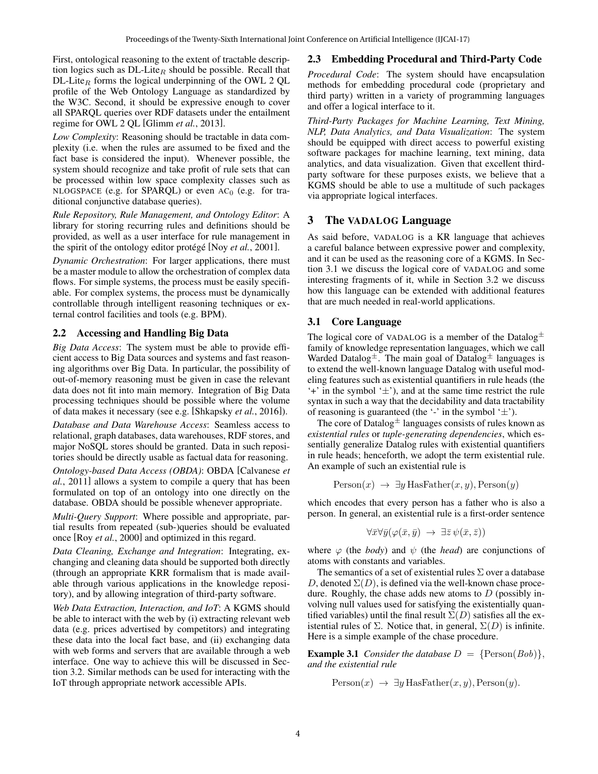First, ontological reasoning to the extent of tractable description logics such as  $DL\text{-}Life_R$  should be possible. Recall that  $DL\text{-}Life<sub>R</sub>$  forms the logical underpinning of the OWL 2 QL profile of the Web Ontology Language as standardized by the W3C. Second, it should be expressive enough to cover all SPARQL queries over RDF datasets under the entailment regime for OWL 2 QL [Glimm *et al.*, 2013].

*Low Complexity*: Reasoning should be tractable in data complexity (i.e. when the rules are assumed to be fixed and the fact base is considered the input). Whenever possible, the system should recognize and take profit of rule sets that can be processed within low space complexity classes such as NLOGSPACE (e.g. for SPAROL) or even  $AC<sub>0</sub>$  (e.g. for traditional conjunctive database queries).

*Rule Repository, Rule Management, and Ontology Editor*: A library for storing recurring rules and definitions should be provided, as well as a user interface for rule management in the spirit of the ontology editor protégé [Noy *et al.*, 2001].

*Dynamic Orchestration*: For larger applications, there must be a master module to allow the orchestration of complex data flows. For simple systems, the process must be easily specifiable. For complex systems, the process must be dynamically controllable through intelligent reasoning techniques or external control facilities and tools (e.g. BPM).

# 2.2 Accessing and Handling Big Data

*Big Data Access*: The system must be able to provide efficient access to Big Data sources and systems and fast reasoning algorithms over Big Data. In particular, the possibility of out-of-memory reasoning must be given in case the relevant data does not fit into main memory. Integration of Big Data processing techniques should be possible where the volume of data makes it necessary (see e.g. [Shkapsky *et al.*, 2016]).

*Database and Data Warehouse Access*: Seamless access to relational, graph databases, data warehouses, RDF stores, and major NoSQL stores should be granted. Data in such repositories should be directly usable as factual data for reasoning.

*Ontology-based Data Access (OBDA)*: OBDA [Calvanese *et al.*, 2011] allows a system to compile a query that has been formulated on top of an ontology into one directly on the database. OBDA should be possible whenever appropriate.

*Multi-Query Support*: Where possible and appropriate, partial results from repeated (sub-)queries should be evaluated once [Roy *et al.*, 2000] and optimized in this regard.

*Data Cleaning, Exchange and Integration*: Integrating, exchanging and cleaning data should be supported both directly (through an appropriate KRR formalism that is made available through various applications in the knowledge repository), and by allowing integration of third-party software.

*Web Data Extraction, Interaction, and IoT*: A KGMS should be able to interact with the web by (i) extracting relevant web data (e.g. prices advertised by competitors) and integrating these data into the local fact base, and (ii) exchanging data with web forms and servers that are available through a web interface. One way to achieve this will be discussed in Section 3.2. Similar methods can be used for interacting with the IoT through appropriate network accessible APIs.

# 2.3 Embedding Procedural and Third-Party Code

*Procedural Code*: The system should have encapsulation methods for embedding procedural code (proprietary and third party) written in a variety of programming languages and offer a logical interface to it.

*Third-Party Packages for Machine Learning, Text Mining, NLP, Data Analytics, and Data Visualization*: The system should be equipped with direct access to powerful existing software packages for machine learning, text mining, data analytics, and data visualization. Given that excellent thirdparty software for these purposes exists, we believe that a KGMS should be able to use a multitude of such packages via appropriate logical interfaces.

# 3 The VADALOG Language

As said before, VADALOG is a KR language that achieves a careful balance between expressive power and complexity, and it can be used as the reasoning core of a KGMS. In Section 3.1 we discuss the logical core of VADALOG and some interesting fragments of it, while in Section 3.2 we discuss how this language can be extended with additional features that are much needed in real-world applications.

# 3.1 Core Language

The logical core of VADALOG is a member of the Datalog $\pm$ family of knowledge representation languages, which we call Warded Datalog<sup> $\pm$ </sup>. The main goal of Datalog $\pm$  languages is to extend the well-known language Datalog with useful modeling features such as existential quantifiers in rule heads (the  $'+'$  in the symbol  $'+'$ ), and at the same time restrict the rule syntax in such a way that the decidability and data tractability of reasoning is guaranteed (the '-' in the symbol ' $\pm$ ').

The core of Datalog $\pm$  languages consists of rules known as *existential rules* or *tuple-generating dependencies*, which essentially generalize Datalog rules with existential quantifiers in rule heads; henceforth, we adopt the term existential rule. An example of such an existential rule is

$$
Person(x) \rightarrow \exists y \text{HasFather}(x, y), Person(y)
$$

which encodes that every person has a father who is also a person. In general, an existential rule is a first-order sentence

$$
\forall \bar{x} \forall \bar{y} (\varphi(\bar{x}, \bar{y}) \rightarrow \exists \bar{z} \psi(\bar{x}, \bar{z}))
$$

where  $\varphi$  (the *body*) and  $\psi$  (the *head*) are conjunctions of atoms with constants and variables.

The semantics of a set of existential rules  $\Sigma$  over a database D, denoted  $\Sigma(D)$ , is defined via the well-known chase procedure. Roughly, the chase adds new atoms to  $D$  (possibly involving null values used for satisfying the existentially quantified variables) until the final result  $\Sigma(D)$  satisfies all the existential rules of  $\Sigma$ . Notice that, in general,  $\Sigma(D)$  is infinite. Here is a simple example of the chase procedure.

**Example 3.1** *Consider the database*  $D = {Person(Bob)}$ , *and the existential rule*

$$
Person(x) \rightarrow \exists y \text{HasFather}(x, y), Person(y).
$$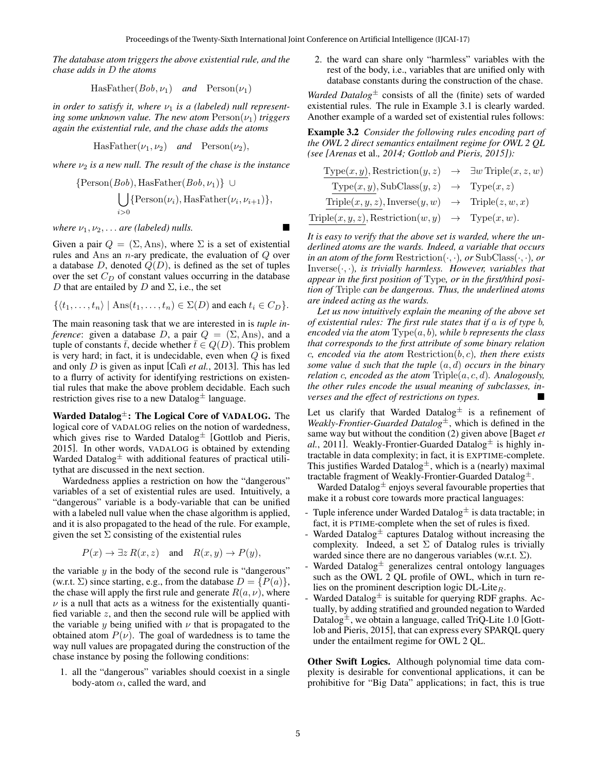*The database atom triggers the above existential rule, and the chase adds in* D *the atoms*

$$
HasFather(Bob, \nu_1) \quad and \quad Person(\nu_1)
$$

*in order to satisfy it, where*  $\nu_1$  *is a (labeled) null representing some unknown value. The new atom*  $Person(\nu_1)$  *triggers again the existential rule, and the chase adds the atoms*

$$
HasFather(\nu_1, \nu_2) \quad and \quad Person(\nu_2),
$$

*where*  $\nu_2$  *is a new null. The result of the chase is the instance* 

$$
\{\text{Person}(Bob), \text{HasFather}(Bob, \nu_1)\} \cup \bigcup_{i>0} \{\text{Person}(\nu_i), \text{HasFather}(\nu_i, \nu_{i+1})\},\
$$

*where*  $\nu_1, \nu_2, \ldots$  *are (labeled) nulls.* 

Given a pair  $Q = (\Sigma, \text{Ans})$ , where  $\Sigma$  is a set of existential rules and Ans an n-ary predicate, the evaluation of Q over a database  $D$ , denoted  $Q(D)$ , is defined as the set of tuples over the set  $C_D$  of constant values occurring in the database D that are entailed by D and  $\Sigma$ , i.e., the set

$$
\{\langle t_1,\ldots,t_n\rangle \mid \text{Ans}(t_1,\ldots,t_n)\in \Sigma(D) \text{ and each } t_i\in C_D\}.
$$

The main reasoning task that we are interested in is *tuple inference*: given a database D, a pair  $Q = (\Sigma, \text{Ans})$ , and a tuple of constants  $\bar{t}$ , decide whether  $\bar{t} \in Q(D)$ . This problem is very hard; in fact, it is undecidable, even when  $Q$  is fixed and only D is given as input [Calì *et al.*, 2013]. This has led to a flurry of activity for identifying restrictions on existential rules that make the above problem decidable. Each such restriction gives rise to a new Datalog $\pm$  language.

Warded Datalog $\pm$ : The Logical Core of VADALOG. The logical core of VADALOG relies on the notion of wardedness, which gives rise to Warded Datalog<sup>±</sup> [Gottlob and Pieris, 2015]. In other words, VADALOG is obtained by extending Warded Datalog $\pm$  with additional features of practical utilitythat are discussed in the next section.

Wardedness applies a restriction on how the "dangerous" variables of a set of existential rules are used. Intuitively, a "dangerous" variable is a body-variable that can be unified with a labeled null value when the chase algorithm is applied, and it is also propagated to the head of the rule. For example, given the set  $\Sigma$  consisting of the existential rules

$$
P(x) \to \exists z R(x, z)
$$
 and  $R(x, y) \to P(y)$ ,

the variable  $y$  in the body of the second rule is "dangerous" (w.r.t.  $\Sigma$ ) since starting, e.g., from the database  $D = \{P(a)\}\,$ , the chase will apply the first rule and generate  $R(a, \nu)$ , where  $\nu$  is a null that acts as a witness for the existentially quantified variable  $z$ , and then the second rule will be applied with the variable y being unified with  $\nu$  that is propagated to the obtained atom  $P(\nu)$ . The goal of wardedness is to tame the way null values are propagated during the construction of the chase instance by posing the following conditions:

1. all the "dangerous" variables should coexist in a single body-atom  $\alpha$ , called the ward, and

2. the ward can share only "harmless" variables with the rest of the body, i.e., variables that are unified only with database constants during the construction of the chase.

*Warded Datalog*<sup> $\pm$ </sup> consists of all the (finite) sets of warded existential rules. The rule in Example 3.1 is clearly warded. Another example of a warded set of existential rules follows:

Example 3.2 *Consider the following rules encoding part of the OWL 2 direct semantics entailment regime for OWL 2 QL (see [Arenas* et al.*, 2014; Gottlob and Pieris, 2015]):*

$$
\frac{\text{Type}(x, y), \text{Restriction}(y, z) \rightarrow \exists w \text{Triple}(x, z, w)}{\text{Type}(x, y), \text{SubClass}(y, z) \rightarrow \text{Type}(x, z)}\n\frac{\text{Triple}(x, y, z)}{\text{Triple}(x, y, z), \text{Inverse}(y, w)} \rightarrow \text{Triple}(z, w, x)}\n\text{Triple}(x, y, z), \text{Restriction}(w, y) \rightarrow \text{Type}(x, w).
$$

*It is easy to verify that the above set is warded, where the underlined atoms are the wards. Indeed, a variable that occurs in an atom of the form* Restriction $(·, ·)$ *, or* SubClass $(·, ·)$ *, or* Inverse $(·, ·)$ *, is trivially harmless. However, variables that appear in the first position of* Type*, or in the first/third position of* Triple *can be dangerous. Thus, the underlined atoms are indeed acting as the wards.*

*Let us now intuitively explain the meaning of the above set of existential rules: The first rule states that if* a *is of type* b*, encoded via the atom* Type(a, b)*, while* b *represents the class that corresponds to the first attribute of some binary relation* c*, encoded via the atom* Restriction(b, c)*, then there exists some value* d *such that the tuple* (a, d) *occurs in the binary relation* c*, encoded as the atom* Triple(a, c, d)*. Analogously, the other rules encode the usual meaning of subclasses, inverses and the effect of restrictions on types.*

Let us clarify that Warded Datalog<sup> $\pm$ </sup> is a refinement of *Weakly-Frontier-Guarded Datalog*<sup>±</sup>, which is defined in the same way but without the condition (2) given above [Baget *et al.*, 2011]. Weakly-Frontier-Guarded Datalog<sup> $\pm$ </sup> is highly intractable in data complexity; in fact, it is EXPTIME-complete. This justifies Warded Datalog $\pm$ , which is a (nearly) maximal tractable fragment of Weakly-Frontier-Guarded Datalog $\pm$ .

Warded Datalog $\pm$  enjoys several favourable properties that make it a robust core towards more practical languages:

- Tuple inference under Warded Datalog $\pm$  is data tractable; in fact, it is PTIME-complete when the set of rules is fixed.
- Warded Datalog $\pm$  captures Datalog without increasing the complexity. Indeed, a set  $\Sigma$  of Datalog rules is trivially warded since there are no dangerous variables (w.r.t.  $\Sigma$ ).
- Warded Datalog $\pm$  generalizes central ontology languages such as the OWL 2 QL profile of OWL, which in turn relies on the prominent description logic  $DL\text{-}Like<sub>R</sub>$ .
- Warded Datalog $\pm$  is suitable for querying RDF graphs. Actually, by adding stratified and grounded negation to Warded Datalog<sup> $\pm$ </sup>, we obtain a language, called TriQ-Lite 1.0 [Gottlob and Pieris, 2015], that can express every SPARQL query under the entailment regime for OWL 2 QL.

Other Swift Logics. Although polynomial time data complexity is desirable for conventional applications, it can be prohibitive for "Big Data" applications; in fact, this is true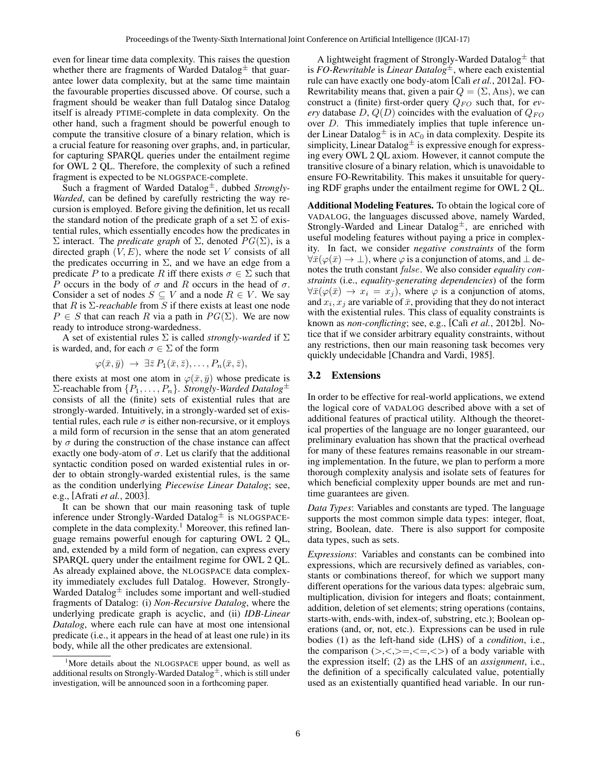even for linear time data complexity. This raises the question whether there are fragments of Warded Datalog $\pm$  that guarantee lower data complexity, but at the same time maintain the favourable properties discussed above. Of course, such a fragment should be weaker than full Datalog since Datalog itself is already PTIME-complete in data complexity. On the other hand, such a fragment should be powerful enough to compute the transitive closure of a binary relation, which is a crucial feature for reasoning over graphs, and, in particular, for capturing SPARQL queries under the entailment regime for OWL 2 QL. Therefore, the complexity of such a refined fragment is expected to be NLOGSPACE-complete.

Such a fragment of Warded Datalog<sup>±</sup>, dubbed *Strongly-Warded*, can be defined by carefully restricting the way recursion is employed. Before giving the definition, let us recall the standard notion of the predicate graph of a set  $\Sigma$  of existential rules, which essentially encodes how the predicates in Σ interact. The *predicate graph* of Σ, denoted PG(Σ), is a directed graph  $(V, E)$ , where the node set V consists of all the predicates occurring in  $\Sigma$ , and we have an edge from a predicate P to a predicate R iff there exists  $\sigma \in \Sigma$  such that P occurs in the body of  $\sigma$  and R occurs in the head of  $\sigma$ . Consider a set of nodes  $S \subseteq V$  and a node  $R \in V$ . We say that  $R$  is  $\Sigma$ -reachable from  $S$  if there exists at least one node  $P \in S$  that can reach R via a path in  $PG(\Sigma)$ . We are now ready to introduce strong-wardedness.

A set of existential rules Σ is called *strongly-warded* if Σ is warded, and, for each  $\sigma \in \Sigma$  of the form

 $\varphi(\bar{x}, \bar{y}) \rightarrow \exists \bar{z} P_1(\bar{x}, \bar{z}), \ldots, P_n(\bar{x}, \bar{z}),$ 

there exists at most one atom in  $\varphi(\bar{x}, \bar{y})$  whose predicate is  $\Sigma$ -reachable from  $\{P_1, \ldots, P_n\}$ . *Strongly-Warded Datalog*<sup> $\pm$ </sup> consists of all the (finite) sets of existential rules that are strongly-warded. Intuitively, in a strongly-warded set of existential rules, each rule  $\sigma$  is either non-recursive, or it employs a mild form of recursion in the sense that an atom generated by  $\sigma$  during the construction of the chase instance can affect exactly one body-atom of  $\sigma$ . Let us clarify that the additional syntactic condition posed on warded existential rules in order to obtain strongly-warded existential rules, is the same as the condition underlying *Piecewise Linear Datalog*; see, e.g., [Afrati *et al.*, 2003].

It can be shown that our main reasoning task of tuple inference under Strongly-Warded Datalog $\pm$  is NLOGSPACEcomplete in the data complexity.<sup>1</sup> Moreover, this refined language remains powerful enough for capturing OWL 2 QL, and, extended by a mild form of negation, can express every SPARQL query under the entailment regime for OWL 2 QL. As already explained above, the NLOGSPACE data complexity immediately excludes full Datalog. However, Strongly-Warded Datalog $\pm$  includes some important and well-studied fragments of Datalog: (i) *Non-Recursive Datalog*, where the underlying predicate graph is acyclic, and (ii) *IDB-Linear Datalog*, where each rule can have at most one intensional predicate (i.e., it appears in the head of at least one rule) in its body, while all the other predicates are extensional.

A lightweight fragment of Strongly-Warded Datalog  $\pm$  that is *FO-Rewritable* is *Linear Datalog*<sup> $\pm$ </sup>, where each existential rule can have exactly one body-atom [Calì *et al.*, 2012a]. FO-Rewritability means that, given a pair  $Q = (\Sigma, \text{Ans})$ , we can construct a (finite) first-order query  $Q_{FO}$  such that, for *every* database  $D$ ,  $Q(D)$  coincides with the evaluation of  $Q_{FO}$ over D. This immediately implies that tuple inference under Linear Datalog<sup> $\pm$ </sup> is in AC<sub>0</sub> in data complexity. Despite its simplicity, Linear Datalog $\pm$  is expressive enough for expressing every OWL 2 QL axiom. However, it cannot compute the transitive closure of a binary relation, which is unavoidable to ensure FO-Rewritability. This makes it unsuitable for querying RDF graphs under the entailment regime for OWL 2 QL.

Additional Modeling Features. To obtain the logical core of VADALOG, the languages discussed above, namely Warded, Strongly-Warded and Linear Datalog $\pm$ , are enriched with useful modeling features without paying a price in complexity. In fact, we consider *negative constraints* of the form  $\forall \bar{x}(\varphi(\bar{x}) \to \bot)$ , where  $\varphi$  is a conjunction of atoms, and  $\bot$  denotes the truth constant false. We also consider *equality constraints* (i.e., *equality-generating dependencies*) of the form  $\forall \bar{x}(\varphi(\bar{x}) \rightarrow x_i = x_j)$ , where  $\varphi$  is a conjunction of atoms, and  $x_i, x_j$  are variable of  $\bar{x}$ , providing that they do not interact with the existential rules. This class of equality constraints is known as *non-conflicting*; see, e.g., [Calì *et al.*, 2012b]. Notice that if we consider arbitrary equality constraints, without any restrictions, then our main reasoning task becomes very quickly undecidable [Chandra and Vardi, 1985].

#### 3.2 Extensions

In order to be effective for real-world applications, we extend the logical core of VADALOG described above with a set of additional features of practical utility. Although the theoretical properties of the language are no longer guaranteed, our preliminary evaluation has shown that the practical overhead for many of these features remains reasonable in our streaming implementation. In the future, we plan to perform a more thorough complexity analysis and isolate sets of features for which beneficial complexity upper bounds are met and runtime guarantees are given.

*Data Types*: Variables and constants are typed. The language supports the most common simple data types: integer, float, string, Boolean, date. There is also support for composite data types, such as sets.

*Expressions*: Variables and constants can be combined into expressions, which are recursively defined as variables, constants or combinations thereof, for which we support many different operations for the various data types: algebraic sum, multiplication, division for integers and floats; containment, addition, deletion of set elements; string operations (contains, starts-with, ends-with, index-of, substring, etc.); Boolean operations (and, or, not, etc.). Expressions can be used in rule bodies (1) as the left-hand side (LHS) of a *condition*, i.e., the comparison  $(\geq, \leq, \geq, \leq, \leq)$  of a body variable with the expression itself; (2) as the LHS of an *assignment*, i.e., the definition of a specifically calculated value, potentially used as an existentially quantified head variable. In our run-

 $1$ More details about the NLOGSPACE upper bound, as well as additional results on Strongly-Warded Datalog $\pm$ , which is still under investigation, will be announced soon in a forthcoming paper.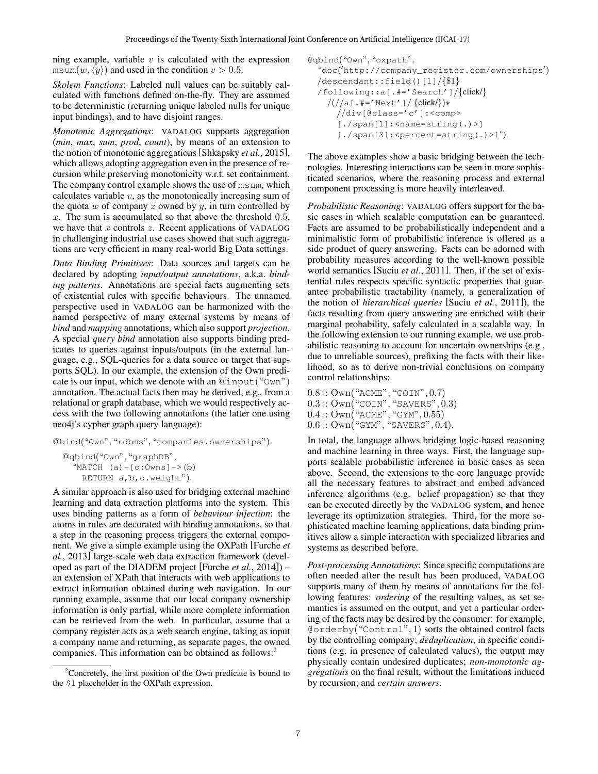ning example, variable  $v$  is calculated with the expression  $m\text{sum}(w, \langle y \rangle)$  and used in the condition  $v > 0.5$ .

*Skolem Functions*: Labeled null values can be suitably calculated with functions defined on-the-fly. They are assumed to be deterministic (returning unique labeled nulls for unique input bindings), and to have disjoint ranges.

*Monotonic Aggregations*: VADALOG supports aggregation (*min*, *max*, *sum*, *prod*, *count*), by means of an extension to the notion of monotonic aggregations [Shkapsky *et al.*, 2015], which allows adopting aggregation even in the presence of recursion while preserving monotonicity w.r.t. set containment. The company control example shows the use of msum, which calculates variable  $v$ , as the monotonically increasing sum of the quota w of company z owned by  $y$ , in turn controlled by x. The sum is accumulated so that above the threshold  $0.5$ , we have that  $x$  controls  $z$ . Recent applications of VADALOG in challenging industrial use cases showed that such aggregations are very efficient in many real-world Big Data settings.

*Data Binding Primitives*: Data sources and targets can be declared by adopting *input/output annotations*, a.k.a. *binding patterns*. Annotations are special facts augmenting sets of existential rules with specific behaviours. The unnamed perspective used in VADALOG can be harmonized with the named perspective of many external systems by means of *bind* and *mapping* annotations, which also support *projection*. A special *query bind* annotation also supports binding predicates to queries against inputs/outputs (in the external language, e.g., SQL-queries for a data source or target that supports SQL). In our example, the extension of the Own predicate is our input, which we denote with an  $@input("Own")$ annotation. The actual facts then may be derived, e.g., from a relational or graph database, which we would respectively access with the two following annotations (the latter one using neo4j's cypher graph query language):

```
@bind("Own", "rdbms", "companies.ownerships").
  @qbind("Own", "graphDB",
    "MATCH (a) - [o:Owns] \rightarrow (b)RETURN a,b,o.weight").
```
A similar approach is also used for bridging external machine learning and data extraction platforms into the system. This uses binding patterns as a form of *behaviour injection*: the atoms in rules are decorated with binding annotations, so that a step in the reasoning process triggers the external component. We give a simple example using the OXPath [Furche *et al.*, 2013] large-scale web data extraction framework (developed as part of the DIADEM project [Furche *et al.*, 2014]) – an extension of XPath that interacts with web applications to extract information obtained during web navigation. In our running example, assume that our local company ownership information is only partial, while more complete information can be retrieved from the web. In particular, assume that a company register acts as a web search engine, taking as input a company name and returning, as separate pages, the owned companies. This information can be obtained as follows:<sup>2</sup>

@qbind("Own", "oxpath",

```
"doc(http://company_register.com/ownerships')
/descendant::field()[1]/{\$1\}/following::a[.#='Search']/{click/}
 /(//a[.#='Next']/ {click/})∗
    //div[@class='c']:<comp>
    [./span[1]:<name=string(.)>]
    [./span[3]:<percent=string(.)>]").
```
The above examples show a basic bridging between the technologies. Interesting interactions can be seen in more sophisticated scenarios, where the reasoning process and external component processing is more heavily interleaved.

*Probabilistic Reasoning*: VADALOG offers support for the basic cases in which scalable computation can be guaranteed. Facts are assumed to be probabilistically independent and a minimalistic form of probabilistic inference is offered as a side product of query answering. Facts can be adorned with probability measures according to the well-known possible world semantics [Suciu *et al.*, 2011]. Then, if the set of existential rules respects specific syntactic properties that guarantee probabilistic tractability (namely, a generalization of the notion of *hierarchical queries* [Suciu *et al.*, 2011]), the facts resulting from query answering are enriched with their marginal probability, safely calculated in a scalable way. In the following extension to our running example, we use probabilistic reasoning to account for uncertain ownerships (e.g., due to unreliable sources), prefixing the facts with their likelihood, so as to derive non-trivial conclusions on company control relationships:

```
0.8::\mathrm{Own}("ACME", "COLIN", 0.7)0.3::\mathrm{Own}<sup>"</sup>\mathrm{coIN}", "SAVERS", 0.3)
0.4::\mathrm{Own}("ACME", "GYM", 0.55)0.6 :: Own("GYM", "SAVERS", 0.4).
```
In total, the language allows bridging logic-based reasoning and machine learning in three ways. First, the language supports scalable probabilistic inference in basic cases as seen above. Second, the extensions to the core language provide all the necessary features to abstract and embed advanced inference algorithms (e.g. belief propagation) so that they can be executed directly by the VADALOG system, and hence leverage its optimization strategies. Third, for the more sophisticated machine learning applications, data binding primitives allow a simple interaction with specialized libraries and systems as described before.

*Post-processing Annotations*: Since specific computations are often needed after the result has been produced, VADALOG supports many of them by means of annotations for the following features: *ordering* of the resulting values, as set semantics is assumed on the output, and yet a particular ordering of the facts may be desired by the consumer: for example, @orderby("Control", 1) sorts the obtained control facts by the controlling company; *deduplication*, in specific conditions (e.g. in presence of calculated values), the output may physically contain undesired duplicates; *non-monotonic aggregations* on the final result, without the limitations induced by recursion; and *certain answers*.

 $2^{\circ}$ Concretely, the first position of the Own predicate is bound to the \$1 placeholder in the OXPath expression.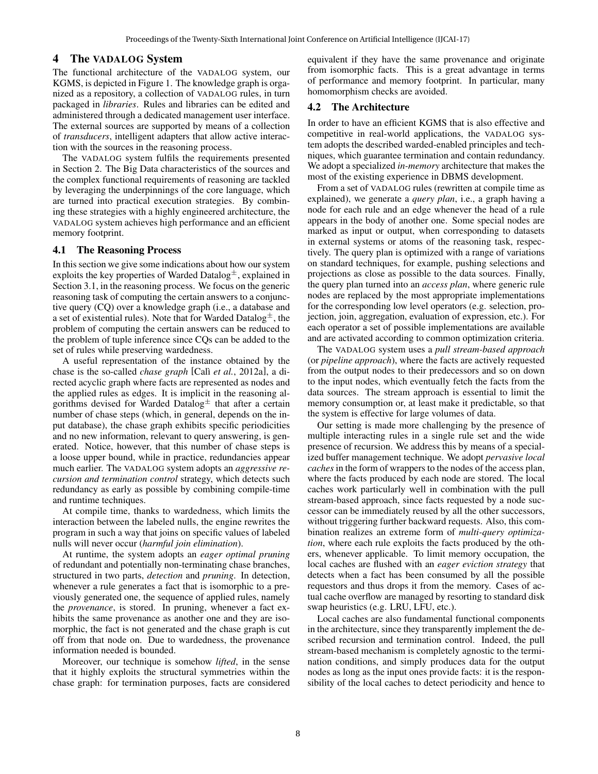### 4 The VADALOG System

The functional architecture of the VADALOG system, our KGMS, is depicted in Figure 1. The knowledge graph is organized as a repository, a collection of VADALOG rules, in turn packaged in *libraries*. Rules and libraries can be edited and administered through a dedicated management user interface. The external sources are supported by means of a collection of *transducers*, intelligent adapters that allow active interaction with the sources in the reasoning process.

The VADALOG system fulfils the requirements presented in Section 2. The Big Data characteristics of the sources and the complex functional requirements of reasoning are tackled by leveraging the underpinnings of the core language, which are turned into practical execution strategies. By combining these strategies with a highly engineered architecture, the VADALOG system achieves high performance and an efficient memory footprint.

#### 4.1 The Reasoning Process

In this section we give some indications about how our system exploits the key properties of Warded Datalog<sup> $\pm$ </sup>, explained in Section 3.1, in the reasoning process. We focus on the generic reasoning task of computing the certain answers to a conjunctive query (CQ) over a knowledge graph (i.e., a database and a set of existential rules). Note that for Warded Datalog<sup> $\pm$ </sup>, the problem of computing the certain answers can be reduced to the problem of tuple inference since CQs can be added to the set of rules while preserving wardedness.

A useful representation of the instance obtained by the chase is the so-called *chase graph* [Calì *et al.*, 2012a], a directed acyclic graph where facts are represented as nodes and the applied rules as edges. It is implicit in the reasoning algorithms devised for Warded Datalog  $\pm$  that after a certain number of chase steps (which, in general, depends on the input database), the chase graph exhibits specific periodicities and no new information, relevant to query answering, is generated. Notice, however, that this number of chase steps is a loose upper bound, while in practice, redundancies appear much earlier. The VADALOG system adopts an *aggressive recursion and termination control* strategy, which detects such redundancy as early as possible by combining compile-time and runtime techniques.

At compile time, thanks to wardedness, which limits the interaction between the labeled nulls, the engine rewrites the program in such a way that joins on specific values of labeled nulls will never occur (*harmful join elimination*).

At runtime, the system adopts an *eager optimal pruning* of redundant and potentially non-terminating chase branches, structured in two parts, *detection* and *pruning*. In detection, whenever a rule generates a fact that is isomorphic to a previously generated one, the sequence of applied rules, namely the *provenance*, is stored. In pruning, whenever a fact exhibits the same provenance as another one and they are isomorphic, the fact is not generated and the chase graph is cut off from that node on. Due to wardedness, the provenance information needed is bounded.

Moreover, our technique is somehow *lifted*, in the sense that it highly exploits the structural symmetries within the chase graph: for termination purposes, facts are considered equivalent if they have the same provenance and originate from isomorphic facts. This is a great advantage in terms of performance and memory footprint. In particular, many homomorphism checks are avoided.

#### 4.2 The Architecture

In order to have an efficient KGMS that is also effective and competitive in real-world applications, the VADALOG system adopts the described warded-enabled principles and techniques, which guarantee termination and contain redundancy. We adopt a specialized *in-memory* architecture that makes the most of the existing experience in DBMS development.

From a set of VADALOG rules (rewritten at compile time as explained), we generate a *query plan*, i.e., a graph having a node for each rule and an edge whenever the head of a rule appears in the body of another one. Some special nodes are marked as input or output, when corresponding to datasets in external systems or atoms of the reasoning task, respectively. The query plan is optimized with a range of variations on standard techniques, for example, pushing selections and projections as close as possible to the data sources. Finally, the query plan turned into an *access plan*, where generic rule nodes are replaced by the most appropriate implementations for the corresponding low level operators (e.g. selection, projection, join, aggregation, evaluation of expression, etc.). For each operator a set of possible implementations are available and are activated according to common optimization criteria.

The VADALOG system uses a *pull stream-based approach* (or *pipeline approach*), where the facts are actively requested from the output nodes to their predecessors and so on down to the input nodes, which eventually fetch the facts from the data sources. The stream approach is essential to limit the memory consumption or, at least make it predictable, so that the system is effective for large volumes of data.

Our setting is made more challenging by the presence of multiple interacting rules in a single rule set and the wide presence of recursion. We address this by means of a specialized buffer management technique. We adopt *pervasive local caches* in the form of wrappers to the nodes of the access plan, where the facts produced by each node are stored. The local caches work particularly well in combination with the pull stream-based approach, since facts requested by a node successor can be immediately reused by all the other successors, without triggering further backward requests. Also, this combination realizes an extreme form of *multi-query optimization*, where each rule exploits the facts produced by the others, whenever applicable. To limit memory occupation, the local caches are flushed with an *eager eviction strategy* that detects when a fact has been consumed by all the possible requestors and thus drops it from the memory. Cases of actual cache overflow are managed by resorting to standard disk swap heuristics (e.g. LRU, LFU, etc.).

Local caches are also fundamental functional components in the architecture, since they transparently implement the described recursion and termination control. Indeed, the pull stream-based mechanism is completely agnostic to the termination conditions, and simply produces data for the output nodes as long as the input ones provide facts: it is the responsibility of the local caches to detect periodicity and hence to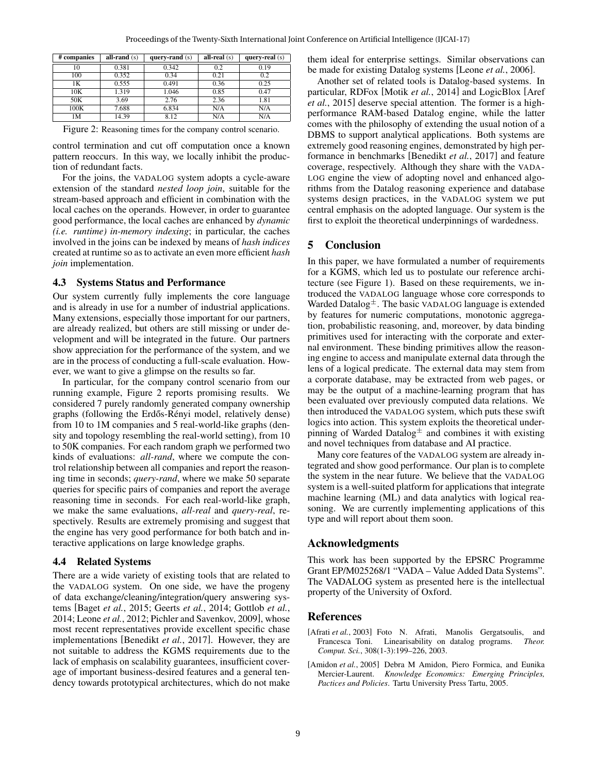| # companies | all-rand $(s)$ | $query$ -rand $(s)$ | all-real $(s)$ | query-real (s) |
|-------------|----------------|---------------------|----------------|----------------|
| 10          | 0.381          | 0.342               | 0.2            | 0.19           |
| 100         | 0.352          | 0.34                | 0.21           | 0.2            |
| 1Κ          | 0.555          | 0.491               | 0.36           | 0.25           |
| 10K         | 1.319          | 1.046               | 0.85           | 0.47           |
| 50K         | 3.69           | 2.76                | 2.36           | 1.81           |
| 100K        | 7.688          | 6.834               | N/A            | N/A            |
| 1M          | 14.39          | 8.12                | N/A            | N/A            |

Figure 2: Reasoning times for the company control scenario.

control termination and cut off computation once a known pattern reoccurs. In this way, we locally inhibit the production of redundant facts.

For the joins, the VADALOG system adopts a cycle-aware extension of the standard *nested loop join*, suitable for the stream-based approach and efficient in combination with the local caches on the operands. However, in order to guarantee good performance, the local caches are enhanced by *dynamic (i.e. runtime) in-memory indexing*; in particular, the caches involved in the joins can be indexed by means of *hash indices* created at runtime so as to activate an even more efficient *hash join* implementation.

#### 4.3 Systems Status and Performance

Our system currently fully implements the core language and is already in use for a number of industrial applications. Many extensions, especially those important for our partners, are already realized, but others are still missing or under development and will be integrated in the future. Our partners show appreciation for the performance of the system, and we are in the process of conducting a full-scale evaluation. However, we want to give a glimpse on the results so far.

In particular, for the company control scenario from our running example, Figure 2 reports promising results. We considered 7 purely randomly generated company ownership graphs (following the Erdős-Rényi model, relatively dense) from 10 to 1M companies and 5 real-world-like graphs (density and topology resembling the real-world setting), from 10 to 50K companies. For each random graph we performed two kinds of evaluations: *all-rand*, where we compute the control relationship between all companies and report the reasoning time in seconds; *query-rand*, where we make 50 separate queries for specific pairs of companies and report the average reasoning time in seconds. For each real-world-like graph, we make the same evaluations, *all-real* and *query-real*, respectively. Results are extremely promising and suggest that the engine has very good performance for both batch and interactive applications on large knowledge graphs.

#### 4.4 Related Systems

There are a wide variety of existing tools that are related to the VADALOG system. On one side, we have the progeny of data exchange/cleaning/integration/query answering systems [Baget *et al.*, 2015; Geerts *et al.*, 2014; Gottlob *et al.*, 2014; Leone *et al.*, 2012; Pichler and Savenkov, 2009], whose most recent representatives provide excellent specific chase implementations [Benedikt *et al.*, 2017]. However, they are not suitable to address the KGMS requirements due to the lack of emphasis on scalability guarantees, insufficient coverage of important business-desired features and a general tendency towards prototypical architectures, which do not make them ideal for enterprise settings. Similar observations can be made for existing Datalog systems [Leone *et al.*, 2006].

Another set of related tools is Datalog-based systems. In particular, RDFox [Motik *et al.*, 2014] and LogicBlox [Aref *et al.*, 2015] deserve special attention. The former is a highperformance RAM-based Datalog engine, while the latter comes with the philosophy of extending the usual notion of a DBMS to support analytical applications. Both systems are extremely good reasoning engines, demonstrated by high performance in benchmarks [Benedikt *et al.*, 2017] and feature coverage, respectively. Although they share with the VADA-LOG engine the view of adopting novel and enhanced algorithms from the Datalog reasoning experience and database systems design practices, in the VADALOG system we put central emphasis on the adopted language. Our system is the first to exploit the theoretical underpinnings of wardedness.

### 5 Conclusion

In this paper, we have formulated a number of requirements for a KGMS, which led us to postulate our reference architecture (see Figure 1). Based on these requirements, we introduced the VADALOG language whose core corresponds to Warded Datalog $\pm$ . The basic VADALOG language is extended by features for numeric computations, monotonic aggregation, probabilistic reasoning, and, moreover, by data binding primitives used for interacting with the corporate and external environment. These binding primitives allow the reasoning engine to access and manipulate external data through the lens of a logical predicate. The external data may stem from a corporate database, may be extracted from web pages, or may be the output of a machine-learning program that has been evaluated over previously computed data relations. We then introduced the VADALOG system, which puts these swift logics into action. This system exploits the theoretical underpinning of Warded Datalog $\pm$  and combines it with existing and novel techniques from database and AI practice.

Many core features of the VADALOG system are already integrated and show good performance. Our plan is to complete the system in the near future. We believe that the VADALOG system is a well-suited platform for applications that integrate machine learning (ML) and data analytics with logical reasoning. We are currently implementing applications of this type and will report about them soon.

### Acknowledgments

This work has been supported by the EPSRC Programme Grant EP/M025268/1 "VADA – Value Added Data Systems". The VADALOG system as presented here is the intellectual property of the University of Oxford.

### References

- [Afrati *et al.*, 2003] Foto N. Afrati, Manolis Gergatsoulis, and Francesca Toni. Linearisability on datalog programs. *Theor. Comput. Sci.*, 308(1-3):199–226, 2003.
- [Amidon *et al.*, 2005] Debra M Amidon, Piero Formica, and Eunika Mercier-Laurent. *Knowledge Economics: Emerging Principles, Pactices and Policies*. Tartu University Press Tartu, 2005.